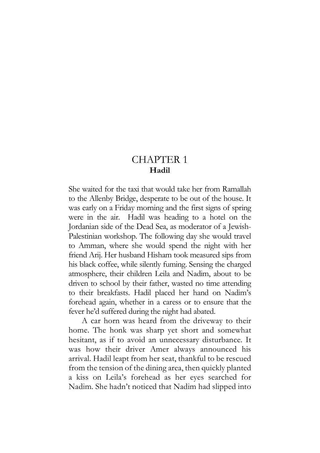## CHAPTER 1 Hadil

She waited for the taxi that would take her from Ramallah to the Allenby Bridge, desperate to be out of the house. It was early on a Friday morning and the first signs of spring were in the air. Hadil was heading to a hotel on the Jordanian side of the Dead Sea, as moderator of a Jewish-Palestinian workshop. The following day she would travel to Amman, where she would spend the night with her friend Arij. Her husband Hisham took measured sips from his black coffee, while silently fuming. Sensing the charged atmosphere, their children Leila and Nadim, about to be driven to school by their father, wasted no time attending to their breakfasts. Hadil placed her hand on Nadim's forehead again, whether in a caress or to ensure that the fever he'd suffered during the night had abated.

 A car horn was heard from the driveway to their home. The honk was sharp yet short and somewhat hesitant, as if to avoid an unnecessary disturbance. It was how their driver Amer always announced his arrival. Hadil leapt from her seat, thankful to be rescued from the tension of the dining area, then quickly planted a kiss on Leila's forehead as her eyes searched for Nadim. She hadn't noticed that Nadim had slipped into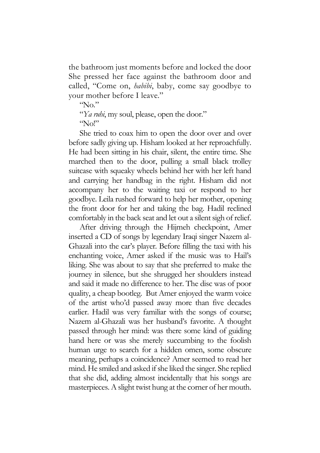the bathroom just moments before and locked the door She pressed her face against the bathroom door and called, "Come on, *habibi*, baby, come say goodbye to your mother before I leave."

" $N_0$ "

"Ya ruhi, my soul, please, open the door."

"No!"

She tried to coax him to open the door over and over before sadly giving up. Hisham looked at her reproachfully. He had been sitting in his chair, silent, the entire time. She marched then to the door, pulling a small black trolley suitcase with squeaky wheels behind her with her left hand and carrying her handbag in the right. Hisham did not accompany her to the waiting taxi or respond to her goodbye. Leila rushed forward to help her mother, opening the front door for her and taking the bag. Hadil reclined comfortably in the back seat and let out a silent sigh of relief.

After driving through the Hijmeh checkpoint, Amer inserted a CD of songs by legendary Iraqi singer Nazem al-Ghazali into the car's player. Before filling the taxi with his enchanting voice, Amer asked if the music was to Hail's liking. She was about to say that she preferred to make the journey in silence, but she shrugged her shoulders instead and said it made no difference to her. The disc was of poor quality, a cheap bootleg. But Amer enjoyed the warm voice of the artist who'd passed away more than five decades earlier. Hadil was very familiar with the songs of course; Nazem al-Ghazali was her husband's favorite. A thought passed through her mind: was there some kind of guiding hand here or was she merely succumbing to the foolish human urge to search for a hidden omen, some obscure meaning, perhaps a coincidence? Amer seemed to read her mind. He smiled and asked if she liked the singer. She replied that she did, adding almost incidentally that his songs are masterpieces. A slight twist hung at the corner of her mouth.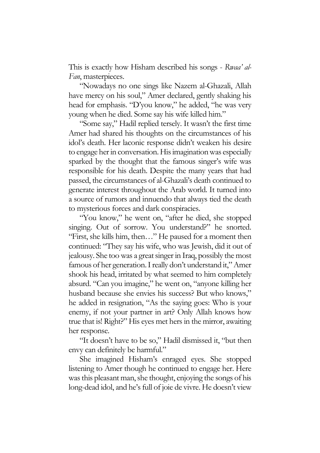This is exactly how Hisham described his songs - Rwaa' al-Fan, masterpieces.

"Nowadays no one sings like Nazem al-Ghazali, Allah have mercy on his soul," Amer declared, gently shaking his head for emphasis. "D'you know," he added, "he was very young when he died. Some say his wife killed him."

"Some say," Hadil replied tersely. It wasn't the first time Amer had shared his thoughts on the circumstances of his idol's death. Her laconic response didn't weaken his desire to engage her in conversation. His imagination was especially sparked by the thought that the famous singer's wife was responsible for his death. Despite the many years that had passed, the circumstances of al-Ghazali's death continued to generate interest throughout the Arab world. It turned into a source of rumors and innuendo that always tied the death to mysterious forces and dark conspiracies.

"You know," he went on, "after he died, she stopped singing. Out of sorrow. You understand?" he snorted. "First, she kills him, then…" He paused for a moment then continued: "They say his wife, who was Jewish, did it out of jealousy. She too was a great singer in Iraq, possibly the most famous of her generation. I really don't understand it," Amer shook his head, irritated by what seemed to him completely absurd. "Can you imagine," he went on, "anyone killing her husband because she envies his success? But who knows," he added in resignation, "As the saying goes: Who is your enemy, if not your partner in art? Only Allah knows how true that is! Right?" His eyes met hers in the mirror, awaiting her response.

"It doesn't have to be so," Hadil dismissed it, "but then envy can definitely be harmful."

She imagined Hisham's enraged eyes. She stopped listening to Amer though he continued to engage her. Here was this pleasant man, she thought, enjoying the songs of his long-dead idol, and he's full of joie de vivre. He doesn't view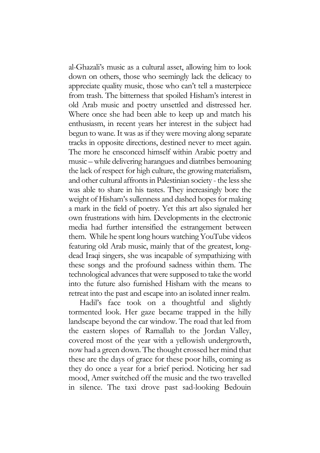al-Ghazali's music as a cultural asset, allowing him to look down on others, those who seemingly lack the delicacy to appreciate quality music, those who can't tell a masterpiece from trash. The bitterness that spoiled Hisham's interest in old Arab music and poetry unsettled and distressed her. Where once she had been able to keep up and match his enthusiasm, in recent years her interest in the subject had begun to wane. It was as if they were moving along separate tracks in opposite directions, destined never to meet again. The more he ensconced himself within Arabic poetry and music – while delivering harangues and diatribes bemoaning the lack of respect for high culture, the growing materialism, and other cultural affronts in Palestinian society - the less she was able to share in his tastes. They increasingly bore the weight of Hisham's sullenness and dashed hopes for making a mark in the field of poetry. Yet this art also signaled her own frustrations with him. Developments in the electronic media had further intensified the estrangement between them. While he spent long hours watching YouTube videos featuring old Arab music, mainly that of the greatest, longdead Iraqi singers, she was incapable of sympathizing with these songs and the profound sadness within them. The technological advances that were supposed to take the world into the future also furnished Hisham with the means to retreat into the past and escape into an isolated inner realm.

Hadil's face took on a thoughtful and slightly tormented look. Her gaze became trapped in the hilly landscape beyond the car window. The road that led from the eastern slopes of Ramallah to the Jordan Valley, covered most of the year with a yellowish undergrowth, now had a green down. The thought crossed her mind that these are the days of grace for these poor hills, coming as they do once a year for a brief period. Noticing her sad mood, Amer switched off the music and the two travelled in silence. The taxi drove past sad-looking Bedouin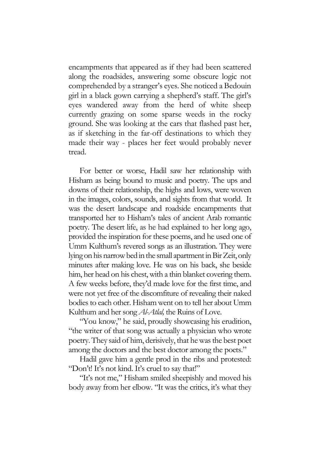encampments that appeared as if they had been scattered along the roadsides, answering some obscure logic not comprehended by a stranger's eyes. She noticed a Bedouin girl in a black gown carrying a shepherd's staff. The girl's eyes wandered away from the herd of white sheep currently grazing on some sparse weeds in the rocky ground. She was looking at the cars that flashed past her, as if sketching in the far-off destinations to which they made their way - places her feet would probably never tread.

For better or worse, Hadil saw her relationship with Hisham as being bound to music and poetry. The ups and downs of their relationship, the highs and lows, were woven in the images, colors, sounds, and sights from that world. It was the desert landscape and roadside encampments that transported her to Hisham's tales of ancient Arab romantic poetry. The desert life, as he had explained to her long ago, provided the inspiration for these poems, and he used one of Umm Kulthum's revered songs as an illustration. They were lying on his narrow bed in the small apartment in Bir Zeit, only minutes after making love. He was on his back, she beside him, her head on his chest, with a thin blanket covering them. A few weeks before, they'd made love for the first time, and were not yet free of the discomfiture of revealing their naked bodies to each other. Hisham went on to tell her about Umm Kulthum and her song Al-Atlal, the Ruins of Love.

"You know," he said, proudly showcasing his erudition, "the writer of that song was actually a physician who wrote poetry. They said of him, derisively, that he was the best poet among the doctors and the best doctor among the poets."

Hadil gave him a gentle prod in the ribs and protested: "Don't! It's not kind. It's cruel to say that!"

"It's not me," Hisham smiled sheepishly and moved his body away from her elbow. "It was the critics, it's what they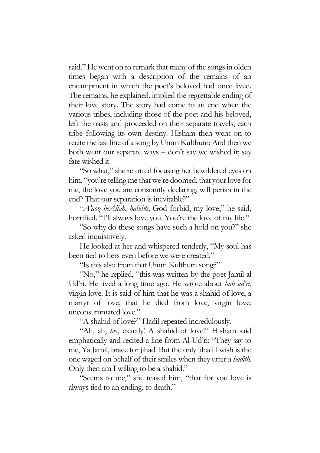said." He went on to remark that many of the songs in olden times began with a description of the remains of an encampment in which the poet's beloved had once lived. The remains, he explained, implied the regrettable ending of their love story. The story had come to an end when the various tribes, including those of the poet and his beloved, left the oasis and proceeded on their separate travels, each tribe following its own destiny. Hisham then went on to recite the last line of a song by Umm Kulthum: And then we both went our separate ways – don't say we wished it; say fate wished it.

"So what," she retorted focusing her bewildered eyes on him, "you're telling me that we're doomed, that your love for me, the love you are constantly declaring, will perish in the end? That our separation is inevitable?"

"A'aoz beAllah, habibti; God forbid, my love," he said, horrified. "I'll always love you. You're the love of my life."

"So why do these songs have such a hold on you?" she asked inquisitively.

He looked at her and whispered tenderly, "My soul has been tied to hers even before we were created."

"Is this also from that Umm Kulthum song?"

"No," he replied, "this was written by the poet Jamil al Ud'ri. He lived a long time ago. He wrote about hub ud'ri, virgin love. It is said of him that he was a shahid of love, a martyr of love, that he died from love, virgin love, unconsummated love."

"A shahid of love?" Hadil repeated incredulously.

"Ah, ah, hec, exactly! A shahid of love!" Hisham said emphatically and recited a line from Al-Ud'ri: "They say to me, Ya Jamil, brace for jihad! But the only jihad I wish is the one waged on behalf of their smiles when they utter a hadith. Only then am I willing to be a shahid."

"Seems to me," she teased him, "that for you love is always tied to an ending, to death."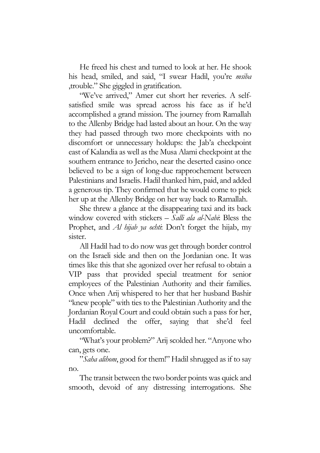He freed his chest and turned to look at her. He shook his head, smiled, and said, "I swear Hadil, you're msibal ,trouble." She giggled in gratification.

"We've arrived," Amer cut short her reveries. A selfsatisfied smile was spread across his face as if he'd accomplished a grand mission. The journey from Ramallah to the Allenby Bridge had lasted about an hour. On the way they had passed through two more checkpoints with no discomfort or unnecessary holdups: the Jab'a checkpoint east of Kalandia as well as the Musa Alami checkpoint at the southern entrance to Jericho, near the deserted casino once believed to be a sign of long-due rapprochement between Palestinians and Israelis. Hadil thanked him, paid, and added a generous tip. They confirmed that he would come to pick her up at the Allenby Bridge on her way back to Ramallah.

She threw a glance at the disappearing taxi and its back window covered with stickers – Salli ala al-Nabi: Bless the Prophet, and *Al hijab ya ochti*: Don't forget the hijab, my sister.

All Hadil had to do now was get through border control on the Israeli side and then on the Jordanian one. It was times like this that she agonized over her refusal to obtain a VIP pass that provided special treatment for senior employees of the Palestinian Authority and their families. Once when Arij whispered to her that her husband Bashir "knew people" with ties to the Palestinian Authority and the Jordanian Royal Court and could obtain such a pass for her, Hadil declined the offer, saying that she'd feel uncomfortable.

"What's your problem?" Arij scolded her. "Anyone who can, gets one.

"Saha alihom, good for them!" Hadil shrugged as if to say no.

The transit between the two border points was quick and smooth, devoid of any distressing interrogations. She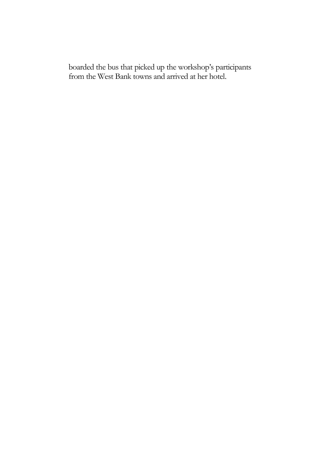boarded the bus that picked up the workshop's participants from the West Bank towns and arrived at her hotel.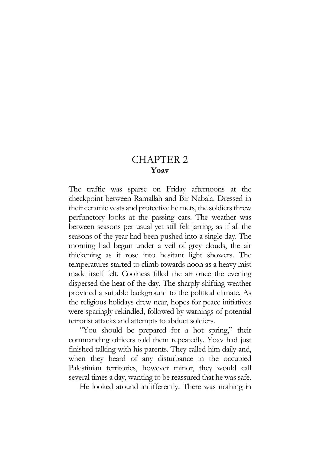## CHAPTER 2 Yoav

The traffic was sparse on Friday afternoons at the checkpoint between Ramallah and Bir Nabala. Dressed in their ceramic vests and protective helmets, the soldiers threw perfunctory looks at the passing cars. The weather was between seasons per usual yet still felt jarring, as if all the seasons of the year had been pushed into a single day. The morning had begun under a veil of grey clouds, the air thickening as it rose into hesitant light showers. The temperatures started to climb towards noon as a heavy mist made itself felt. Coolness filled the air once the evening dispersed the heat of the day. The sharply-shifting weather provided a suitable background to the political climate. As the religious holidays drew near, hopes for peace initiatives were sparingly rekindled, followed by warnings of potential terrorist attacks and attempts to abduct soldiers.

"You should be prepared for a hot spring," their commanding officers told them repeatedly. Yoav had just finished talking with his parents. They called him daily and, when they heard of any disturbance in the occupied Palestinian territories, however minor, they would call several times a day, wanting to be reassured that he was safe.

He looked around indifferently. There was nothing in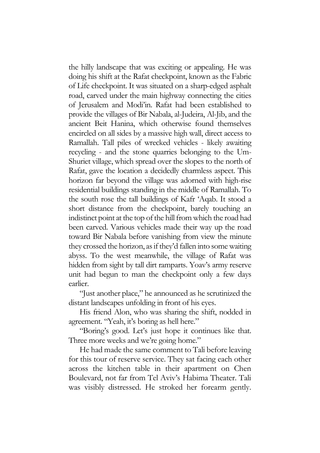the hilly landscape that was exciting or appealing. He was doing his shift at the Rafat checkpoint, known as the Fabric of Life checkpoint. It was situated on a sharp-edged asphalt road, carved under the main highway connecting the cities of Jerusalem and Modi'in. Rafat had been established to provide the villages of Bir Nabala, al-Judeira, Al-Jib, and the ancient Beit Hanina, which otherwise found themselves encircled on all sides by a massive high wall, direct access to Ramallah. Tall piles of wrecked vehicles - likely awaiting recycling - and the stone quarries belonging to the Um-Shuriet village, which spread over the slopes to the north of Rafat, gave the location a decidedly charmless aspect. This horizon far beyond the village was adorned with high-rise residential buildings standing in the middle of Ramallah. To the south rose the tall buildings of Kafr 'Aqab. It stood a short distance from the checkpoint, barely touching an indistinct point at the top of the hill from which the road had been carved. Various vehicles made their way up the road toward Bir Nabala before vanishing from view the minute they crossed the horizon, as if they'd fallen into some waiting abyss. To the west meanwhile, the village of Rafat was hidden from sight by tall dirt ramparts. Yoav's army reserve unit had begun to man the checkpoint only a few days earlier.

"Just another place," he announced as he scrutinized the distant landscapes unfolding in front of his eyes.

His friend Alon, who was sharing the shift, nodded in agreement. "Yeah, it's boring as hell here."

"Boring's good. Let's just hope it continues like that. Three more weeks and we're going home."

He had made the same comment to Tali before leaving for this tour of reserve service. They sat facing each other across the kitchen table in their apartment on Chen Boulevard, not far from Tel Aviv's Habima Theater. Tali was visibly distressed. He stroked her forearm gently.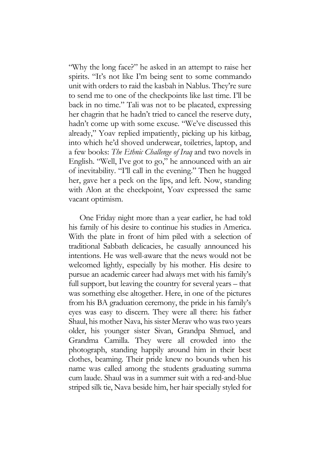"Why the long face?" he asked in an attempt to raise her spirits. "It's not like I'm being sent to some commando unit with orders to raid the kasbah in Nablus. They're sure to send me to one of the checkpoints like last time. I'll be back in no time." Tali was not to be placated, expressing her chagrin that he hadn't tried to cancel the reserve duty, hadn't come up with some excuse. "We've discussed this already," Yoav replied impatiently, picking up his kitbag, into which he'd shoved underwear, toiletries, laptop, and a few books: The Ethnic Challenge of Iraq and two novels in English. "Well, I've got to go," he announced with an air of inevitability. "I'll call in the evening." Then he hugged her, gave her a peck on the lips, and left. Now, standing with Alon at the checkpoint, Yoav expressed the same vacant optimism.

One Friday night more than a year earlier, he had told his family of his desire to continue his studies in America. With the plate in front of him piled with a selection of traditional Sabbath delicacies, he casually announced his intentions. He was well-aware that the news would not be welcomed lightly, especially by his mother. His desire to pursue an academic career had always met with his family's full support, but leaving the country for several years – that was something else altogether. Here, in one of the pictures from his BA graduation ceremony, the pride in his family's eyes was easy to discern. They were all there: his father Shaul, his mother Nava, his sister Merav who was two years older, his younger sister Sivan, Grandpa Shmuel, and Grandma Camilla. They were all crowded into the photograph, standing happily around him in their best clothes, beaming. Their pride knew no bounds when his name was called among the students graduating summa cum laude. Shaul was in a summer suit with a red-and-blue striped silk tie, Nava beside him, her hair specially styled for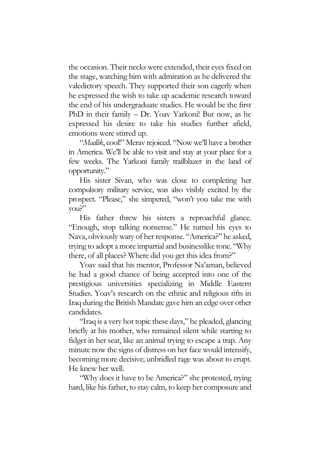the occasion. Their necks were extended, their eyes fixed on the stage, watching him with admiration as he delivered the valedictory speech. They supported their son eagerly when he expressed the wish to take up academic research toward the end of his undergraduate studies. He would be the first PhD in their family – Dr. Yoav Yarkoni! But now, as he expressed his desire to take his studies further afield, emotions were stirred up.

"Madlik, cool!" Merav rejoiced. "Now we'll have a brother in America. We'll be able to visit and stay at your place for a few weeks. The Yarkoni family trailblazer in the land of opportunity."

His sister Sivan, who was close to completing her compulsory military service, was also visibly excited by the prospect. "Please," she simpered, "won't you take me with you?"

His father threw his sisters a reproachful glance. "Enough, stop talking nonsense." He turned his eyes to Nava, obviously wary of her response. "America?" he asked, trying to adopt a more impartial and businesslike tone. "Why there, of all places? Where did you get this idea from?"

Yoav said that his mentor, Professor Na'aman, believed he had a good chance of being accepted into one of the prestigious universities specializing in Middle Eastern Studies. Yoav's research on the ethnic and religious rifts in Iraq during the British Mandate gave him an edge over other candidates.

"Iraq is a very hot topic these days," he pleaded, glancing briefly at his mother, who remained silent while starting to fidget in her seat, like an animal trying to escape a trap. Any minute now the signs of distress on her face would intensify, becoming more decisive; unbridled rage was about to erupt. He knew her well.

"Why does it have to be America?" she protested, trying hard, like his father, to stay calm, to keep her composure and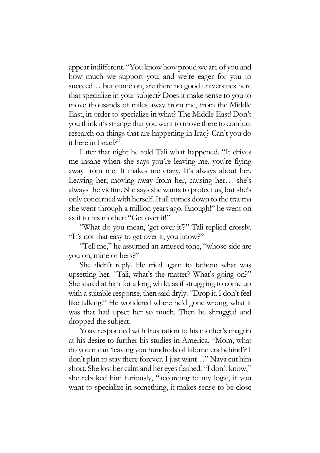appear indifferent. "You know how proud we are of you and how much we support you, and we're eager for you to succeed... but come on, are there no good universities here that specialize in your subject? Does it make sense to you to move thousands of miles away from me, from the Middle East, in order to specialize in what? The Middle East! Don't you think it's strange that you want to move there to conduct research on things that are happening in Iraq? Can't you do it here in Israel?"

Later that night he told Tali what happened. "It drives me insane when she says you're leaving me, you're flying away from me. It makes me crazy. It's always about her. Leaving her, moving away from her, causing her… she's always the victim. She says she wants to protect us, but she's only concerned with herself. It all comes down to the trauma she went through a million years ago. Enough!" he went on as if to his mother: "Get over it!"

"What do you mean, 'get over it'?" Tali replied crossly. "It's not that easy to get over it, you know?"

"Tell me," he assumed an amused tone, "whose side are you on, mine or hers?"

She didn't reply. He tried again to fathom what was upsetting her. "Tali, what's the matter? What's going on?" She stared at him for a long while, as if struggling to come up with a suitable response, then said dryly: "Drop it. I don't feel like talking." He wondered where he'd gone wrong, what it was that had upset her so much. Then he shrugged and dropped the subject.

Yoav responded with frustration to his mother's chagrin at his desire to further his studies in America. "Mom, what do you mean 'leaving you hundreds of kilometers behind'? I don't plan to stay there forever. I just want…" Nava cut him short. She lost her calm and her eyes flashed. "I don't know," she rebuked him furiously, "according to my logic, if you want to specialize in something, it makes sense to be close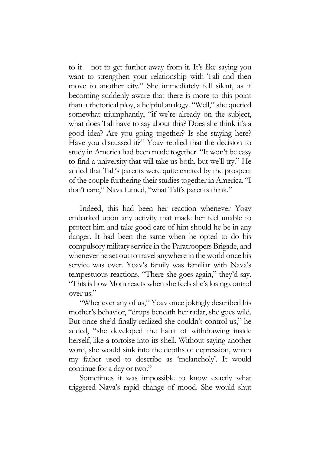to it – not to get further away from it. It's like saying you want to strengthen your relationship with Tali and then move to another city." She immediately fell silent, as if becoming suddenly aware that there is more to this point than a rhetorical ploy, a helpful analogy. "Well," she queried somewhat triumphantly, "if we're already on the subject, what does Tali have to say about this? Does she think it's a good idea? Are you going together? Is she staying here? Have you discussed it?" Yoav replied that the decision to study in America had been made together. "It won't be easy to find a university that will take us both, but we'll try." He added that Tali's parents were quite excited by the prospect of the couple furthering their studies together in America. "I don't care," Nava fumed, "what Tali's parents think."

Indeed, this had been her reaction whenever Yoav embarked upon any activity that made her feel unable to protect him and take good care of him should he be in any danger. It had been the same when he opted to do his compulsory military service in the Paratroopers Brigade, and whenever he set out to travel anywhere in the world once his service was over. Yoav's family was familiar with Nava's tempestuous reactions. "There she goes again," they'd say. "This is how Mom reacts when she feels she's losing control over us."

"Whenever any of us," Yoav once jokingly described his mother's behavior, "drops beneath her radar, she goes wild. But once she'd finally realized she couldn't control us," he added, "she developed the habit of withdrawing inside herself, like a tortoise into its shell. Without saying another word, she would sink into the depths of depression, which my father used to describe as 'melancholy'. It would continue for a day or two."

Sometimes it was impossible to know exactly what triggered Nava's rapid change of mood. She would shut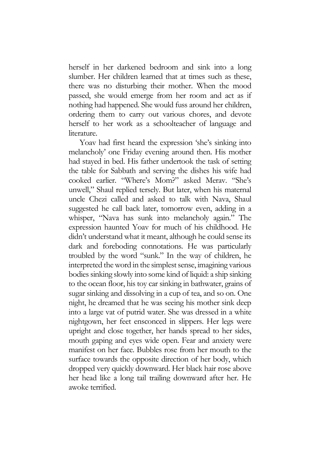herself in her darkened bedroom and sink into a long slumber. Her children learned that at times such as these, there was no disturbing their mother. When the mood passed, she would emerge from her room and act as if nothing had happened. She would fuss around her children, ordering them to carry out various chores, and devote herself to her work as a schoolteacher of language and literature.

Yoav had first heard the expression 'she's sinking into melancholy' one Friday evening around then. His mother had stayed in bed. His father undertook the task of setting the table for Sabbath and serving the dishes his wife had cooked earlier. "Where's Mom?" asked Merav. "She's unwell," Shaul replied tersely. But later, when his maternal uncle Chezi called and asked to talk with Nava, Shaul suggested he call back later, tomorrow even, adding in a whisper, "Nava has sunk into melancholy again." The expression haunted Yoav for much of his childhood. He didn't understand what it meant, although he could sense its dark and foreboding connotations. He was particularly troubled by the word "sunk." In the way of children, he interpreted the word in the simplest sense, imagining various bodies sinking slowly into some kind of liquid: a ship sinking to the ocean floor, his toy car sinking in bathwater, grains of sugar sinking and dissolving in a cup of tea, and so on. One night, he dreamed that he was seeing his mother sink deep into a large vat of putrid water. She was dressed in a white nightgown, her feet ensconced in slippers. Her legs were upright and close together, her hands spread to her sides, mouth gaping and eyes wide open. Fear and anxiety were manifest on her face. Bubbles rose from her mouth to the surface towards the opposite direction of her body, which dropped very quickly downward. Her black hair rose above her head like a long tail trailing downward after her. He awoke terrified.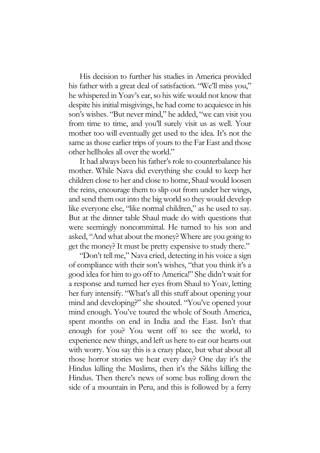His decision to further his studies in America provided his father with a great deal of satisfaction. "We'll miss you," he whispered in Yoav's ear, so his wife would not know that despite his initial misgivings, he had come to acquiesce in his son's wishes. "But never mind," he added, "we can visit you from time to time, and you'll surely visit us as well. Your mother too will eventually get used to the idea. It's not the same as those earlier trips of yours to the Far East and those other hellholes all over the world."

It had always been his father's role to counterbalance his mother. While Nava did everything she could to keep her children close to her and close to home, Shaul would loosen the reins, encourage them to slip out from under her wings, and send them out into the big world so they would develop like everyone else, "like normal children," as he used to say. But at the dinner table Shaul made do with questions that were seemingly noncommittal. He turned to his son and asked, "And what about the money? Where are you going to get the money? It must be pretty expensive to study there."

"Don't tell me," Nava cried, detecting in his voice a sign of compliance with their son's wishes, "that you think it's a good idea for him to go off to America!" She didn't wait for a response and turned her eyes from Shaul to Yoav, letting her fury intensify. "What's all this stuff about opening your mind and developing?" she shouted. "You've opened your mind enough. You've toured the whole of South America, spent months on end in India and the East. Isn't that enough for you? You went off to see the world, to experience new things, and left us here to eat our hearts out with worry. You say this is a crazy place, but what about all those horror stories we hear every day? One day it's the Hindus killing the Muslims, then it's the Sikhs killing the Hindus. Then there's news of some bus rolling down the side of a mountain in Peru, and this is followed by a ferry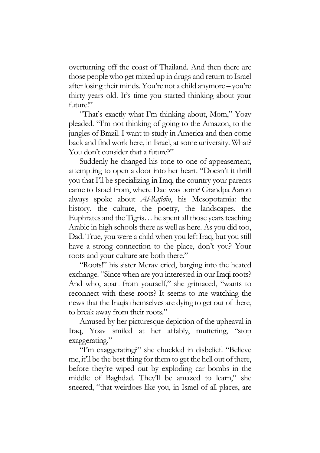overturning off the coast of Thailand. And then there are those people who get mixed up in drugs and return to Israel after losing their minds. You're not a child anymore – you're thirty years old. It's time you started thinking about your future!"

"That's exactly what I'm thinking about, Mom," Yoav pleaded. "I'm not thinking of going to the Amazon, to the jungles of Brazil. I want to study in America and then come back and find work here, in Israel, at some university. What? You don't consider that a future?"

Suddenly he changed his tone to one of appeasement, attempting to open a door into her heart. "Doesn't it thrill you that I'll be specializing in Iraq, the country your parents came to Israel from, where Dad was born? Grandpa Aaron always spoke about Al-Rafidin, his Mesopotamia: the history, the culture, the poetry, the landscapes, the Euphrates and the Tigris… he spent all those years teaching Arabic in high schools there as well as here. As you did too, Dad. True, you were a child when you left Iraq, but you still have a strong connection to the place, don't you? Your roots and your culture are both there."

"Roots!" his sister Merav cried, barging into the heated exchange. "Since when are you interested in our Iraqi roots? And who, apart from yourself," she grimaced, "wants to reconnect with these roots? It seems to me watching the news that the Iraqis themselves are dying to get out of there, to break away from their roots."

Amused by her picturesque depiction of the upheaval in Iraq, Yoav smiled at her affably, muttering, "stop exaggerating."

"I'm exaggerating?" she chuckled in disbelief. "Believe me, it'll be the best thing for them to get the hell out of there, before they're wiped out by exploding car bombs in the middle of Baghdad. They'll be amazed to learn," she sneered, "that weirdoes like you, in Israel of all places, are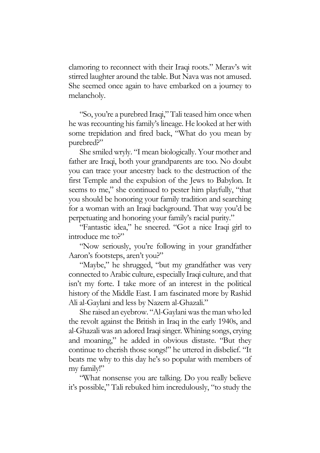clamoring to reconnect with their Iraqi roots." Merav's wit stirred laughter around the table. But Nava was not amused. She seemed once again to have embarked on a journey to melancholy.

"So, you're a purebred Iraqi," Tali teased him once when he was recounting his family's lineage. He looked at her with some trepidation and fired back, "What do you mean by purebred?"

She smiled wryly. "I mean biologically. Your mother and father are Iraqi, both your grandparents are too. No doubt you can trace your ancestry back to the destruction of the first Temple and the expulsion of the Jews to Babylon. It seems to me," she continued to pester him playfully, "that you should be honoring your family tradition and searching for a woman with an Iraqi background. That way you'd be perpetuating and honoring your family's racial purity."

"Fantastic idea," he sneered. "Got a nice Iraqi girl to introduce me to?"

"Now seriously, you're following in your grandfather Aaron's footsteps, aren't you?"

"Maybe," he shrugged, "but my grandfather was very connected to Arabic culture, especially Iraqi culture, and that isn't my forte. I take more of an interest in the political history of the Middle East. I am fascinated more by Rashid Ali al-Gaylani and less by Nazem al-Ghazali."

She raised an eyebrow. "Al-Gaylani was the man who led the revolt against the British in Iraq in the early 1940s, and al-Ghazali was an adored Iraqi singer. Whining songs, crying and moaning," he added in obvious distaste. "But they continue to cherish those songs!" he uttered in disbelief. "It beats me why to this day he's so popular with members of my family!"

"What nonsense you are talking. Do you really believe it's possible," Tali rebuked him incredulously, "to study the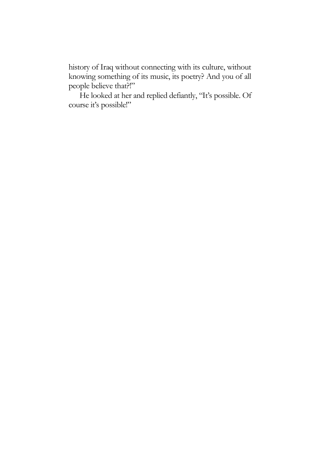history of Iraq without connecting with its culture, without knowing something of its music, its poetry? And you of all people believe that?!"

He looked at her and replied defiantly, "It's possible. Of course it's possible!"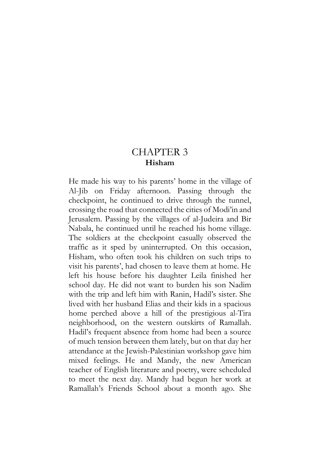## CHAPTER 3 Hisham

He made his way to his parents' home in the village of Al-Jib on Friday afternoon. Passing through the checkpoint, he continued to drive through the tunnel, crossing the road that connected the cities of Modi'in and Jerusalem. Passing by the villages of al-Judeira and Bir Nabala, he continued until he reached his home village. The soldiers at the checkpoint casually observed the traffic as it sped by uninterrupted. On this occasion, Hisham, who often took his children on such trips to visit his parents', had chosen to leave them at home. He left his house before his daughter Leila finished her school day. He did not want to burden his son Nadim with the trip and left him with Ranin, Hadil's sister. She lived with her husband Elias and their kids in a spacious home perched above a hill of the prestigious al-Tira neighborhood, on the western outskirts of Ramallah. Hadil's frequent absence from home had been a source of much tension between them lately, but on that day her attendance at the Jewish-Palestinian workshop gave him mixed feelings. He and Mandy, the new American teacher of English literature and poetry, were scheduled to meet the next day. Mandy had begun her work at Ramallah's Friends School about a month ago. She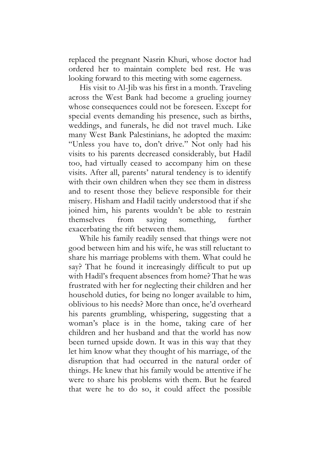replaced the pregnant Nasrin Khuri, whose doctor had ordered her to maintain complete bed rest. He was looking forward to this meeting with some eagerness.

His visit to Al-Jib was his first in a month. Traveling across the West Bank had become a grueling journey whose consequences could not be foreseen. Except for special events demanding his presence, such as births, weddings, and funerals, he did not travel much. Like many West Bank Palestinians, he adopted the maxim: "Unless you have to, don't drive." Not only had his visits to his parents decreased considerably, but Hadil too, had virtually ceased to accompany him on these visits. After all, parents' natural tendency is to identify with their own children when they see them in distress and to resent those they believe responsible for their misery. Hisham and Hadil tacitly understood that if she joined him, his parents wouldn't be able to restrain themselves from saying something, further exacerbating the rift between them.

While his family readily sensed that things were not good between him and his wife, he was still reluctant to share his marriage problems with them. What could he say? That he found it increasingly difficult to put up with Hadil's frequent absences from home? That he was frustrated with her for neglecting their children and her household duties, for being no longer available to him, oblivious to his needs? More than once, he'd overheard his parents grumbling, whispering, suggesting that a woman's place is in the home, taking care of her children and her husband and that the world has now been turned upside down. It was in this way that they let him know what they thought of his marriage, of the disruption that had occurred in the natural order of things. He knew that his family would be attentive if he were to share his problems with them. But he feared that were he to do so, it could affect the possible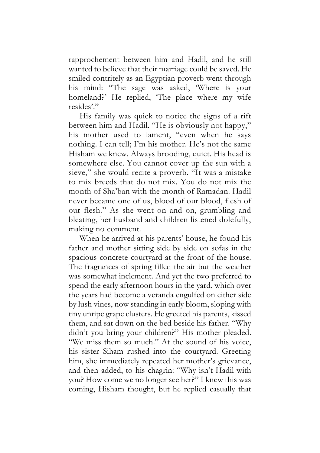rapprochement between him and Hadil, and he still wanted to believe that their marriage could be saved. He smiled contritely as an Egyptian proverb went through his mind: "The sage was asked, 'Where is your homeland?' He replied, 'The place where my wife resides'."

His family was quick to notice the signs of a rift between him and Hadil. "He is obviously not happy," his mother used to lament, "even when he says nothing. I can tell; I'm his mother. He's not the same Hisham we knew. Always brooding, quiet. His head is somewhere else. You cannot cover up the sun with a sieve," she would recite a proverb. "It was a mistake to mix breeds that do not mix. You do not mix the month of Sha'ban with the month of Ramadan. Hadil never became one of us, blood of our blood, flesh of our flesh." As she went on and on, grumbling and bleating, her husband and children listened dolefully, making no comment.

When he arrived at his parents' house, he found his father and mother sitting side by side on sofas in the spacious concrete courtyard at the front of the house. The fragrances of spring filled the air but the weather was somewhat inclement. And yet the two preferred to spend the early afternoon hours in the yard, which over the years had become a veranda engulfed on either side by lush vines, now standing in early bloom, sloping with tiny unripe grape clusters. He greeted his parents, kissed them, and sat down on the bed beside his father. "Why didn't you bring your children?" His mother pleaded. "We miss them so much." At the sound of his voice, his sister Siham rushed into the courtyard. Greeting him, she immediately repeated her mother's grievance, and then added, to his chagrin: "Why isn't Hadil with you? How come we no longer see her?" I knew this was coming, Hisham thought, but he replied casually that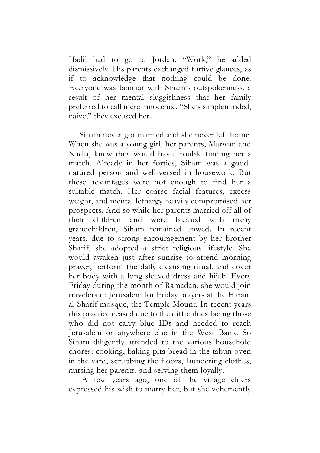Hadil had to go to Jordan. "Work," he added dismissively. His parents exchanged furtive glances, as if to acknowledge that nothing could be done. Everyone was familiar with Siham's outspokenness, a result of her mental sluggishness that her family preferred to call mere innocence. "She's simpleminded, naive," they excused her.

Siham never got married and she never left home. When she was a young girl, her parents, Marwan and Nadia, knew they would have trouble finding her a match. Already in her forties, Siham was a goodnatured person and well-versed in housework. But these advantages were not enough to find her a suitable match. Her coarse facial features, excess weight, and mental lethargy heavily compromised her prospects. And so while her parents married off all of their children and were blessed with many grandchildren, Siham remained unwed. In recent years, due to strong encouragement by her brother Sharif, she adopted a strict religious lifestyle. She would awaken just after sunrise to attend morning prayer, perform the daily cleansing ritual, and cover her body with a long-sleeved dress and hijab. Every Friday during the month of Ramadan, she would join travelers to Jerusalem for Friday prayers at the Haram al-Sharif mosque, the Temple Mount. In recent years this practice ceased due to the difficulties facing those who did not carry blue IDs and needed to reach Jerusalem or anywhere else in the West Bank. So Siham diligently attended to the various household chores: cooking, baking pita bread in the tabun oven in the yard, scrubbing the floors, laundering clothes, nursing her parents, and serving them loyally.

 A few years ago, one of the village elders expressed his wish to marry her, but she vehemently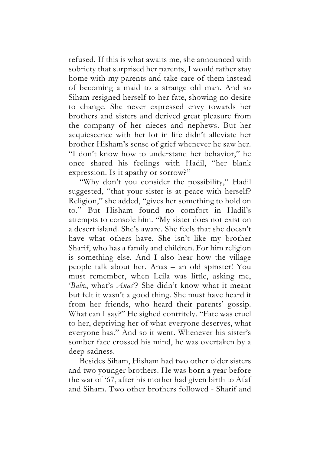refused. If this is what awaits me, she announced with sobriety that surprised her parents, I would rather stay home with my parents and take care of them instead of becoming a maid to a strange old man. And so Siham resigned herself to her fate, showing no desire to change. She never expressed envy towards her brothers and sisters and derived great pleasure from the company of her nieces and nephews. But her acquiescence with her lot in life didn't alleviate her brother Hisham's sense of grief whenever he saw her. "I don't know how to understand her behavior," he once shared his feelings with Hadil, "her blank expression. Is it apathy or sorrow?"

"Why don't you consider the possibility," Hadil suggested, "that your sister is at peace with herself? Religion," she added, "gives her something to hold on to." But Hisham found no comfort in Hadil's attempts to console him. "My sister does not exist on a desert island. She's aware. She feels that she doesn't have what others have. She isn't like my brother Sharif, who has a family and children. For him religion is something else. And I also hear how the village people talk about her. Anas – an old spinster! You must remember, when Leila was little, asking me, 'Baba, what's Anas'? She didn't know what it meant but felt it wasn't a good thing. She must have heard it from her friends, who heard their parents' gossip. What can I say?" He sighed contritely. "Fate was cruel to her, depriving her of what everyone deserves, what everyone has." And so it went. Whenever his sister's somber face crossed his mind, he was overtaken by a deep sadness.

Besides Siham, Hisham had two other older sisters and two younger brothers. He was born a year before the war of '67, after his mother had given birth to Afaf and Siham. Two other brothers followed - Sharif and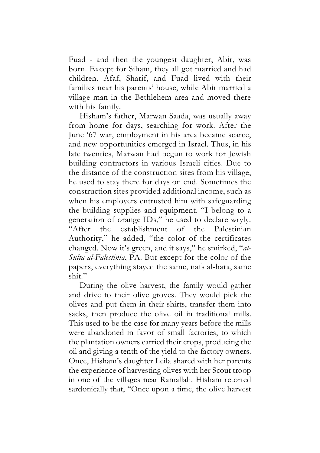Fuad - and then the youngest daughter, Abir, was born. Except for Siham, they all got married and had children. Afaf, Sharif, and Fuad lived with their families near his parents' house, while Abir married a village man in the Bethlehem area and moved there with his family.

Hisham's father, Marwan Saada, was usually away from home for days, searching for work. After the June '67 war, employment in his area became scarce, and new opportunities emerged in Israel. Thus, in his late twenties, Marwan had begun to work for Jewish building contractors in various Israeli cities. Due to the distance of the construction sites from his village, he used to stay there for days on end. Sometimes the construction sites provided additional income, such as when his employers entrusted him with safeguarding the building supplies and equipment. "I belong to a generation of orange IDs," he used to declare wryly. "After the establishment of the Palestinian Authority," he added, "the color of the certificates changed. Now it's green, and it says," he smirked, "al-Sulta al-Falestinia, PA. But except for the color of the papers, everything stayed the same, nafs al-hara, same  $\sin$ "

During the olive harvest, the family would gather and drive to their olive groves. They would pick the olives and put them in their shirts, transfer them into sacks, then produce the olive oil in traditional mills. This used to be the case for many years before the mills were abandoned in favor of small factories, to which the plantation owners carried their crops, producing the oil and giving a tenth of the yield to the factory owners. Once, Hisham's daughter Leila shared with her parents the experience of harvesting olives with her Scout troop in one of the villages near Ramallah. Hisham retorted sardonically that, "Once upon a time, the olive harvest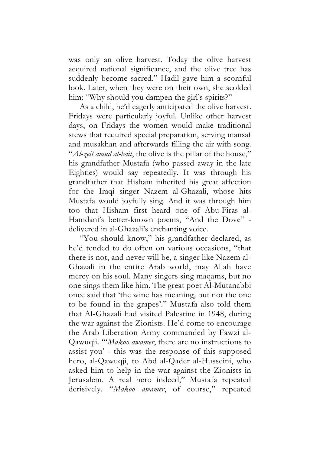was only an olive harvest. Today the olive harvest acquired national significance, and the olive tree has suddenly become sacred." Hadil gave him a scornful look. Later, when they were on their own, she scolded him: "Why should you dampen the girl's spirits?"

As a child, he'd eagerly anticipated the olive harvest. Fridays were particularly joyful. Unlike other harvest days, on Fridays the women would make traditional stews that required special preparation, serving mansaf and musakhan and afterwards filling the air with song. "Al-zeit amud al-bait, the olive is the pillar of the house," his grandfather Mustafa (who passed away in the late Eighties) would say repeatedly. It was through his grandfather that Hisham inherited his great affection for the Iraqi singer Nazem al-Ghazali, whose hits Mustafa would joyfully sing. And it was through him too that Hisham first heard one of Abu-Firas al-Hamdani's better-known poems, "And the Dove" delivered in al-Ghazali's enchanting voice.

"You should know," his grandfather declared, as he'd tended to do often on various occasions, "that there is not, and never will be, a singer like Nazem al-Ghazali in the entire Arab world, may Allah have mercy on his soul. Many singers sing maqams, but no one sings them like him. The great poet Al-Mutanabbi once said that 'the wine has meaning, but not the one to be found in the grapes'." Mustafa also told them that Al-Ghazali had visited Palestine in 1948, during the war against the Zionists. He'd come to encourage the Arab Liberation Army commanded by Fawzi al-Qawuqji. "'Makoo awamer, there are no instructions to assist you' - this was the response of this supposed hero, al-Qawuqji, to Abd al-Qader al-Husseini, who asked him to help in the war against the Zionists in Jerusalem. A real hero indeed," Mustafa repeated derisively. "Makoo awamer, of course," repeated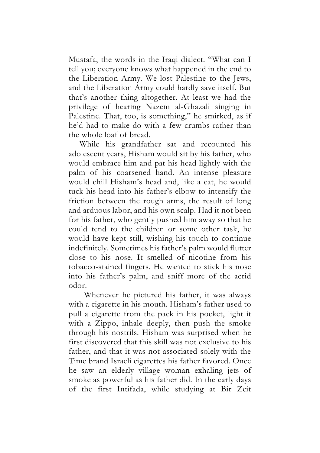Mustafa, the words in the Iraqi dialect. "What can I tell you; everyone knows what happened in the end to the Liberation Army. We lost Palestine to the Jews, and the Liberation Army could hardly save itself. But that's another thing altogether. At least we had the privilege of hearing Nazem al-Ghazali singing in Palestine. That, too, is something," he smirked, as if he'd had to make do with a few crumbs rather than the whole loaf of bread.

While his grandfather sat and recounted his adolescent years, Hisham would sit by his father, who would embrace him and pat his head lightly with the palm of his coarsened hand. An intense pleasure would chill Hisham's head and, like a cat, he would tuck his head into his father's elbow to intensify the friction between the rough arms, the result of long and arduous labor, and his own scalp. Had it not been for his father, who gently pushed him away so that he could tend to the children or some other task, he would have kept still, wishing his touch to continue indefinitely. Sometimes his father's palm would flutter close to his nose. It smelled of nicotine from his tobacco-stained fingers. He wanted to stick his nose into his father's palm, and sniff more of the acrid odor.

 Whenever he pictured his father, it was always with a cigarette in his mouth. Hisham's father used to pull a cigarette from the pack in his pocket, light it with a Zippo, inhale deeply, then push the smoke through his nostrils. Hisham was surprised when he first discovered that this skill was not exclusive to his father, and that it was not associated solely with the Time brand Israeli cigarettes his father favored. Once he saw an elderly village woman exhaling jets of smoke as powerful as his father did. In the early days of the first Intifada, while studying at Bir Zeit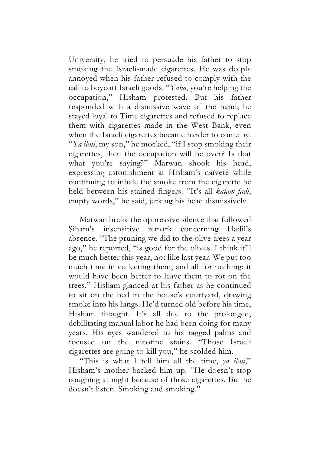University, he tried to persuade his father to stop smoking the Israeli-made cigarettes. He was deeply annoyed when his father refused to comply with the call to boycott Israeli goods. "Yaba, you're helping the occupation," Hisham protested. But his father responded with a dismissive wave of the hand; he stayed loyal to Time cigarettes and refused to replace them with cigarettes made in the West Bank, even when the Israeli cigarettes became harder to come by. "Ya ibni, my son," he mocked, "if I stop smoking their cigarettes, then the occupation will be over? Is that what you're saying?" Marwan shook his head, expressing astonishment at Hisham's naïveté while continuing to inhale the smoke from the cigarette he held between his stained fingers. "It's all *kalam fadi*, empty words," he said, jerking his head dismissively.

Marwan broke the oppressive silence that followed Siham's insensitive remark concerning Hadil's absence. "The pruning we did to the olive trees a year ago," he reported, "is good for the olives. I think it'll be much better this year, not like last year. We put too much time in collecting them, and all for nothing; it would have been better to leave them to rot on the trees." Hisham glanced at his father as he continued to sit on the bed in the house's courtyard, drawing smoke into his lungs. He'd turned old before his time, Hisham thought. It's all due to the prolonged, debilitating manual labor he had been doing for many years. His eyes wandered to his ragged palms and focused on the nicotine stains. "Those Israeli cigarettes are going to kill you," he scolded him.

"This is what I tell him all the time, ya ibni," Hisham's mother backed him up. "He doesn't stop coughing at night because of those cigarettes. But he doesn't listen. Smoking and smoking."